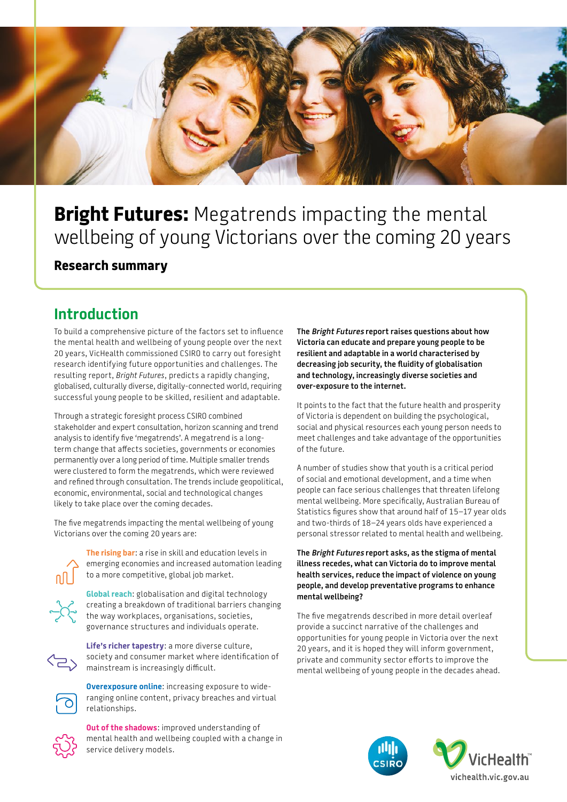

# **Bright Futures:** Megatrends impacting the mental wellbeing of young Victorians over the coming 20 years

#### **Research summary**

# **Introduction**

To build a comprehensive picture of the factors set to influence the mental health and wellbeing of young people over the next 20 years, VicHealth commissioned CSIRO to carry out foresight research identifying future opportunities and challenges. The resulting report, *Bright Futures*, predicts a rapidly changing, globalised, culturally diverse, digitally-connected world, requiring successful young people to be skilled, resilient and adaptable.

Through a strategic foresight process CSIRO combined stakeholder and expert consultation, horizon scanning and trend analysis to identify five 'megatrends'. A megatrend is a longterm change that affects societies, governments or economies permanently over a long period of time. Multiple smaller trends were clustered to form the megatrends, which were reviewed and refined through consultation. The trends include geopolitical, economic, environmental, social and technological changes likely to take place over the coming decades.

The five megatrends impacting the mental wellbeing of young Victorians over the coming 20 years are:



**The rising bar**: a rise in skill and education levels in emerging economies and increased automation leading to a more competitive, global job market.

**Global reach**: globalisation and digital technology creating a breakdown of traditional barriers changing the way workplaces, organisations, societies, governance structures and individuals operate.



**Life's richer tapestry**: a more diverse culture, society and consumer market where identification of mainstream is increasingly difficult.



**Overexposure online**: increasing exposure to wideranging online content, privacy breaches and virtual relationships.



**Out of the shadows**: improved understanding of mental health and wellbeing coupled with a change in service delivery models.

**The Bright Futures report raises questions about how Victoria can educate and prepare young people to be resilient and adaptable in a world characterised by decreasing job security, the fluidity of globalisation and technology, increasingly diverse societies and over-exposure to the internet.** 

It points to the fact that the future health and prosperity of Victoria is dependent on building the psychological, social and physical resources each young person needs to meet challenges and take advantage of the opportunities of the future.

A number of studies show that youth is a critical period of social and emotional development, and a time when people can face serious challenges that threaten lifelong mental wellbeing. More specifically, Australian Bureau of Statistics figures show that around half of 15–17 year olds and two-thirds of 18–24 years olds have experienced a personal stressor related to mental health and wellbeing.

**The Bright Futures report asks, as the stigma of mental illness recedes, what can Victoria do to improve mental health services, reduce the impact of violence on young people, and develop preventative programs to enhance mental wellbeing?**

The five megatrends described in more detail overleaf provide a succinct narrative of the challenges and opportunities for young people in Victoria over the next 20 years, and it is hoped they will inform government, private and community sector efforts to improve the mental wellbeing of young people in the decades ahead.

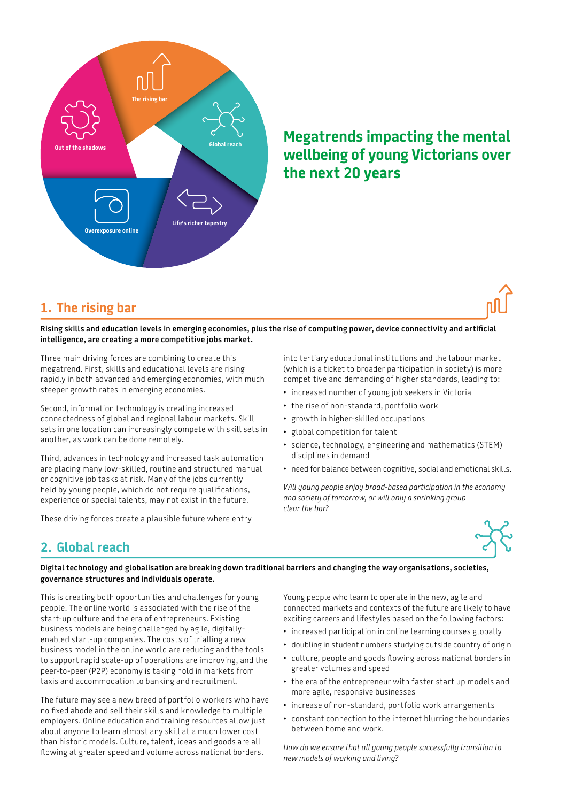

# **Megatrends impacting the mental wellbeing of young Victorians over the next 20 years**

### **1. The rising bar**

**Rising skills and education levels in emerging economies, plus the rise of computing power, device connectivity and artificial intelligence, are creating a more competitive jobs market.** 

Three main driving forces are combining to create this megatrend. First, skills and educational levels are rising rapidly in both advanced and emerging economies, with much steeper growth rates in emerging economies.

Second, information technology is creating increased connectedness of global and regional labour markets. Skill sets in one location can increasingly compete with skill sets in another, as work can be done remotely.

Third, advances in technology and increased task automation are placing many low-skilled, routine and structured manual or cognitive job tasks at risk. Many of the jobs currently held by young people, which do not require qualifications, experience or special talents, may not exist in the future.

These driving forces create a plausible future where entry

into tertiary educational institutions and the labour market (which is a ticket to broader participation in society) is more competitive and demanding of higher standards, leading to:

- increased number of young job seekers in Victoria
- the rise of non-standard, portfolio work
- growth in higher-skilled occupations
- global competition for talent
- science, technology, engineering and mathematics (STEM) disciplines in demand
- need for balance between cognitive, social and emotional skills.

*Will young people enjoy broad-based participation in the economy and society of tomorrow, or will only a shrinking group clear the bar?* 



## **2. Global reach**

**Digital technology and globalisation are breaking down traditional barriers and changing the way organisations, societies, governance structures and individuals operate.** 

This is creating both opportunities and challenges for young people. The online world is associated with the rise of the start-up culture and the era of entrepreneurs. Existing business models are being challenged by agile, digitallyenabled start-up companies. The costs of trialling a new business model in the online world are reducing and the tools to support rapid scale-up of operations are improving, and the peer-to-peer (P2P) economy is taking hold in markets from taxis and accommodation to banking and recruitment.

The future may see a new breed of portfolio workers who have no fixed abode and sell their skills and knowledge to multiple employers. Online education and training resources allow just about anyone to learn almost any skill at a much lower cost than historic models. Culture, talent, ideas and goods are all flowing at greater speed and volume across national borders.

Young people who learn to operate in the new, agile and connected markets and contexts of the future are likely to have exciting careers and lifestyles based on the following factors:

- increased participation in online learning courses globally
- doubling in student numbers studying outside country of origin
- culture, people and goods flowing across national borders in greater volumes and speed
- the era of the entrepreneur with faster start up models and more agile, responsive businesses
- increase of non-standard, portfolio work arrangements
- constant connection to the internet blurring the boundaries between home and work.

*How do we ensure that all young people successfully transition to new models of working and living?*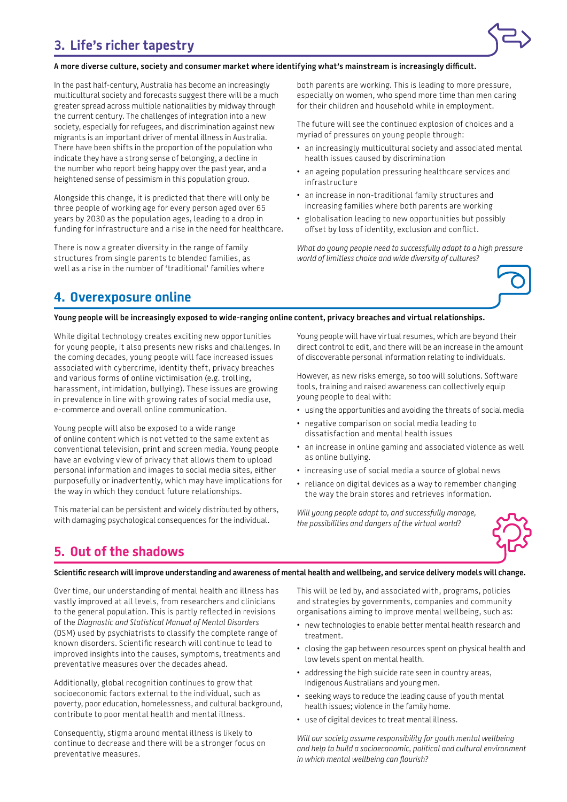# **3. Life's richer tapestry**



#### **A more diverse culture, society and consumer market where identifying what's mainstream is increasingly difficult.**

In the past half-century, Australia has become an increasingly multicultural society and forecasts suggest there will be a much greater spread across multiple nationalities by midway through the current century. The challenges of integration into a new society, especially for refugees, and discrimination against new migrants is an important driver of mental illness in Australia. There have been shifts in the proportion of the population who indicate they have a strong sense of belonging, a decline in the number who report being happy over the past year, and a heightened sense of pessimism in this population group.

Alongside this change, it is predicted that there will only be three people of working age for every person aged over 65 years by 2030 as the population ages, leading to a drop in funding for infrastructure and a rise in the need for healthcare.

There is now a greater diversity in the range of family structures from single parents to blended families, as well as a rise in the number of 'traditional' families where both parents are working. This is leading to more pressure, especially on women, who spend more time than men caring for their children and household while in employment.

The future will see the continued explosion of choices and a myriad of pressures on young people through:

- an increasingly multicultural society and associated mental health issues caused by discrimination
- an ageing population pressuring healthcare services and infrastructure
- an increase in non-traditional family structures and increasing families where both parents are working
- globalisation leading to new opportunities but possibly offset by loss of identity, exclusion and conflict.

*What do young people need to successfully adapt to a high pressure world of limitless choice and wide diversity of cultures?* 



### **4. Overexposure online**

**Young people will be increasingly exposed to wide-ranging online content, privacy breaches and virtual relationships.** 

While digital technology creates exciting new opportunities for young people, it also presents new risks and challenges. In the coming decades, young people will face increased issues associated with cybercrime, identity theft, privacy breaches and various forms of online victimisation (e.g. trolling, harassment, intimidation, bullying). These issues are growing in prevalence in line with growing rates of social media use, e-commerce and overall online communication.

Young people will also be exposed to a wide range of online content which is not vetted to the same extent as conventional television, print and screen media. Young people have an evolving view of privacy that allows them to upload personal information and images to social media sites, either purposefully or inadvertently, which may have implications for the way in which they conduct future relationships.

This material can be persistent and widely distributed by others, with damaging psychological consequences for the individual.

Young people will have virtual resumes, which are beyond their direct control to edit, and there will be an increase in the amount of discoverable personal information relating to individuals.

However, as new risks emerge, so too will solutions. Software tools, training and raised awareness can collectively equip young people to deal with:

- using the opportunities and avoiding the threats of social media
- negative comparison on social media leading to dissatisfaction and mental health issues
- an increase in online gaming and associated violence as well as online bullying.
- increasing use of social media a source of global news
- reliance on digital devices as a way to remember changing the way the brain stores and retrieves information.

*Will young people adapt to, and successfully manage, the possibilities and dangers of the virtual world?*



## **5. Out of the shadows**

**Scientific research will improve understanding and awareness of mental health and wellbeing, and service delivery models will change.** 

Over time, our understanding of mental health and illness has vastly improved at all levels, from researchers and clinicians to the general population. This is partly reflected in revisions of the *Diagnostic and Statistical Manual of Mental Disorders* (DSM) used by psychiatrists to classify the complete range of known disorders. Scientific research will continue to lead to improved insights into the causes, symptoms, treatments and preventative measures over the decades ahead.

Additionally, global recognition continues to grow that socioeconomic factors external to the individual, such as poverty, poor education, homelessness, and cultural background, contribute to poor mental health and mental illness.

Consequently, stigma around mental illness is likely to continue to decrease and there will be a stronger focus on preventative measures.

This will be led by, and associated with, programs, policies and strategies by governments, companies and community organisations aiming to improve mental wellbeing, such as:

- new technologies to enable better mental health research and treatment.
- closing the gap between resources spent on physical health and low levels spent on mental health.
- addressing the high suicide rate seen in country areas, Indigenous Australians and young men.
- seeking ways to reduce the leading cause of youth mental health issues; violence in the family home.
- use of digital devices to treat mental illness.

*Will our society assume responsibility for youth mental wellbeing and help to build a socioeconomic, political and cultural environment in which mental wellbeing can flourish?*